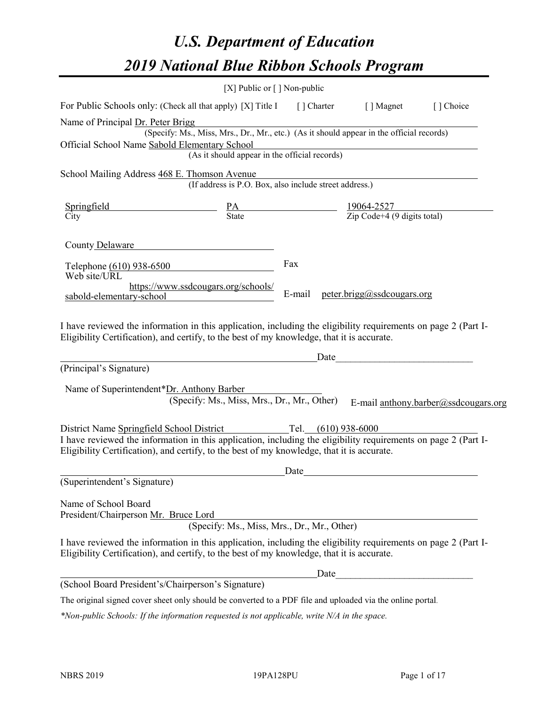# *U.S. Department of Education 2019 National Blue Ribbon Schools Program*

|                                                                                                                                                                                                                                                           | [X] Public or $\lceil$ ] Non-public                                                      |                       |                            |                                      |
|-----------------------------------------------------------------------------------------------------------------------------------------------------------------------------------------------------------------------------------------------------------|------------------------------------------------------------------------------------------|-----------------------|----------------------------|--------------------------------------|
| For Public Schools only: (Check all that apply) [X] Title I [] Charter [] Magnet                                                                                                                                                                          |                                                                                          |                       |                            | [] Choice                            |
| Name of Principal Dr. Peter Brigg                                                                                                                                                                                                                         |                                                                                          |                       |                            |                                      |
|                                                                                                                                                                                                                                                           | (Specify: Ms., Miss, Mrs., Dr., Mr., etc.) (As it should appear in the official records) |                       |                            |                                      |
| Official School Name Sabold Elementary School                                                                                                                                                                                                             | (As it should appear in the official records)                                            |                       |                            |                                      |
| School Mailing Address 468 E. Thomson Avenue                                                                                                                                                                                                              |                                                                                          |                       |                            |                                      |
|                                                                                                                                                                                                                                                           | (If address is P.O. Box, also include street address.)                                   |                       |                            |                                      |
| Springfield                                                                                                                                                                                                                                               |                                                                                          |                       |                            |                                      |
| City                                                                                                                                                                                                                                                      | $\frac{PA}{State}$ $\frac{19064-2527}{\text{Zip Code}+4 (9 digits total)}$               |                       |                            |                                      |
| County Delaware<br>Telephone (610) 938-6500<br>Web site/URL                                                                                                                                                                                               | https://www.ssdcougars.org/schools/                                                      | Fax                   |                            |                                      |
| sabold-elementary-school                                                                                                                                                                                                                                  |                                                                                          | E-mail                | peter.brigg@ssdcougars.org |                                      |
| (Principal's Signature)<br>Name of Superintendent*Dr. Anthony Barber                                                                                                                                                                                      | (Specify: Ms., Miss, Mrs., Dr., Mr., Other)                                              | Date                  |                            | E-mail anthony.barber@ssdcougars.org |
| District Name Springfield School District<br>I have reviewed the information in this application, including the eligibility requirements on page 2 (Part I-<br>Eligibility Certification), and certify, to the best of my knowledge, that it is accurate. |                                                                                          | Tel. $(610)$ 938-6000 |                            |                                      |
|                                                                                                                                                                                                                                                           |                                                                                          | Date                  |                            |                                      |
| (Superintendent's Signature)                                                                                                                                                                                                                              |                                                                                          |                       |                            |                                      |
| Name of School Board<br>President/Chairperson Mr. Bruce Lord                                                                                                                                                                                              | (Specify: Ms., Miss, Mrs., Dr., Mr., Other)                                              |                       |                            |                                      |
| I have reviewed the information in this application, including the eligibility requirements on page 2 (Part I-<br>Eligibility Certification), and certify, to the best of my knowledge, that it is accurate.                                              |                                                                                          |                       |                            |                                      |
|                                                                                                                                                                                                                                                           |                                                                                          | Date                  |                            |                                      |
| (School Board President's/Chairperson's Signature)                                                                                                                                                                                                        |                                                                                          |                       |                            |                                      |
| The original signed cover sheet only should be converted to a PDF file and uploaded via the online portal.                                                                                                                                                |                                                                                          |                       |                            |                                      |

*\*Non-public Schools: If the information requested is not applicable, write N/A in the space.*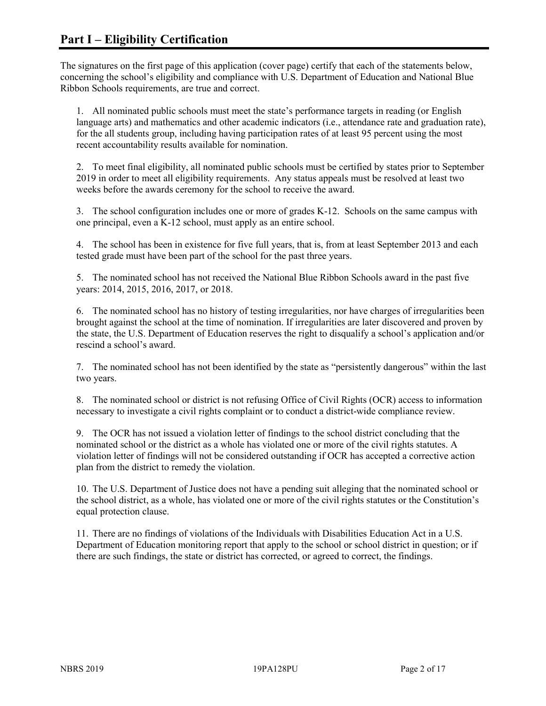The signatures on the first page of this application (cover page) certify that each of the statements below, concerning the school's eligibility and compliance with U.S. Department of Education and National Blue Ribbon Schools requirements, are true and correct.

1. All nominated public schools must meet the state's performance targets in reading (or English language arts) and mathematics and other academic indicators (i.e., attendance rate and graduation rate), for the all students group, including having participation rates of at least 95 percent using the most recent accountability results available for nomination.

2. To meet final eligibility, all nominated public schools must be certified by states prior to September 2019 in order to meet all eligibility requirements. Any status appeals must be resolved at least two weeks before the awards ceremony for the school to receive the award.

3. The school configuration includes one or more of grades K-12. Schools on the same campus with one principal, even a K-12 school, must apply as an entire school.

4. The school has been in existence for five full years, that is, from at least September 2013 and each tested grade must have been part of the school for the past three years.

5. The nominated school has not received the National Blue Ribbon Schools award in the past five years: 2014, 2015, 2016, 2017, or 2018.

6. The nominated school has no history of testing irregularities, nor have charges of irregularities been brought against the school at the time of nomination. If irregularities are later discovered and proven by the state, the U.S. Department of Education reserves the right to disqualify a school's application and/or rescind a school's award.

7. The nominated school has not been identified by the state as "persistently dangerous" within the last two years.

8. The nominated school or district is not refusing Office of Civil Rights (OCR) access to information necessary to investigate a civil rights complaint or to conduct a district-wide compliance review.

9. The OCR has not issued a violation letter of findings to the school district concluding that the nominated school or the district as a whole has violated one or more of the civil rights statutes. A violation letter of findings will not be considered outstanding if OCR has accepted a corrective action plan from the district to remedy the violation.

10. The U.S. Department of Justice does not have a pending suit alleging that the nominated school or the school district, as a whole, has violated one or more of the civil rights statutes or the Constitution's equal protection clause.

11. There are no findings of violations of the Individuals with Disabilities Education Act in a U.S. Department of Education monitoring report that apply to the school or school district in question; or if there are such findings, the state or district has corrected, or agreed to correct, the findings.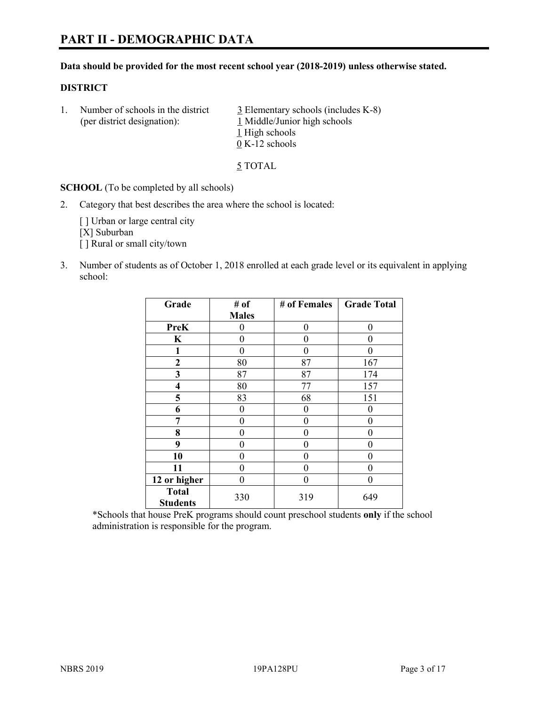### **Data should be provided for the most recent school year (2018-2019) unless otherwise stated.**

# **DISTRICT**

1. Number of schools in the district  $\frac{3}{2}$  Elementary schools (includes K-8) (per district designation): 1 Middle/Junior high schools 1 High schools 0 K-12 schools

5 TOTAL

**SCHOOL** (To be completed by all schools)

2. Category that best describes the area where the school is located:

[ ] Urban or large central city [X] Suburban [] Rural or small city/town

3. Number of students as of October 1, 2018 enrolled at each grade level or its equivalent in applying school:

| Grade                           | # of         | # of Females | <b>Grade Total</b> |
|---------------------------------|--------------|--------------|--------------------|
|                                 | <b>Males</b> |              |                    |
| <b>PreK</b>                     | 0            | $\theta$     | 0                  |
| $\mathbf K$                     | 0            | 0            | 0                  |
| 1                               | 0            | 0            | 0                  |
| $\mathbf{2}$                    | 80           | 87           | 167                |
| 3                               | 87           | 87           | 174                |
| 4                               | 80           | 77           | 157                |
| 5                               | 83           | 68           | 151                |
| 6                               | 0            | $\theta$     | 0                  |
| 7                               | 0            | 0            | 0                  |
| 8                               | 0            | 0            | 0                  |
| 9                               | 0            | 0            | 0                  |
| 10                              | 0            | 0            | 0                  |
| 11                              | 0            | 0            | 0                  |
| 12 or higher                    | $\theta$     | 0            | 0                  |
| <b>Total</b><br><b>Students</b> | 330          | 319          | 649                |

\*Schools that house PreK programs should count preschool students **only** if the school administration is responsible for the program.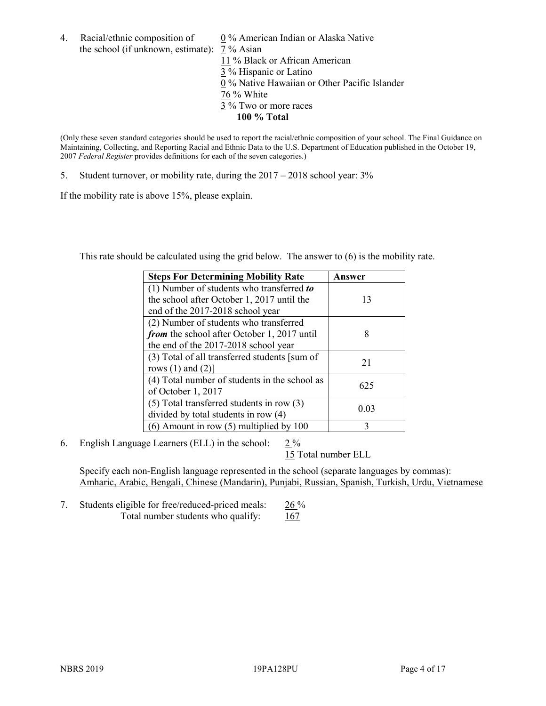4. Racial/ethnic composition of  $0\%$  American Indian or Alaska Native the school (if unknown, estimate): 7 % Asian

 % Black or African American % Hispanic or Latino % Native Hawaiian or Other Pacific Islander 76 % White % Two or more races **100 % Total**

(Only these seven standard categories should be used to report the racial/ethnic composition of your school. The Final Guidance on Maintaining, Collecting, and Reporting Racial and Ethnic Data to the U.S. Department of Education published in the October 19, 2007 *Federal Register* provides definitions for each of the seven categories.)

5. Student turnover, or mobility rate, during the 2017 – 2018 school year: 3%

If the mobility rate is above 15%, please explain.

This rate should be calculated using the grid below. The answer to (6) is the mobility rate.

| <b>Steps For Determining Mobility Rate</b>    | Answer |
|-----------------------------------------------|--------|
| (1) Number of students who transferred to     |        |
| the school after October 1, 2017 until the    | 13     |
| end of the 2017-2018 school year              |        |
| (2) Number of students who transferred        |        |
| from the school after October 1, 2017 until   | 8      |
| the end of the 2017-2018 school year          |        |
| (3) Total of all transferred students [sum of | 21     |
| rows $(1)$ and $(2)$ ]                        |        |
| (4) Total number of students in the school as | 625    |
| of October 1, 2017                            |        |
| $(5)$ Total transferred students in row $(3)$ | 0.03   |
| divided by total students in row (4)          |        |
| (6) Amount in row (5) multiplied by 100       | 3      |

6. English Language Learners (ELL) in the school:  $2\%$ 

15 Total number ELL

Specify each non-English language represented in the school (separate languages by commas): Amharic, Arabic, Bengali, Chinese (Mandarin), Punjabi, Russian, Spanish, Turkish, Urdu, Vietnamese

7. Students eligible for free/reduced-priced meals: 26 % Total number students who qualify: 167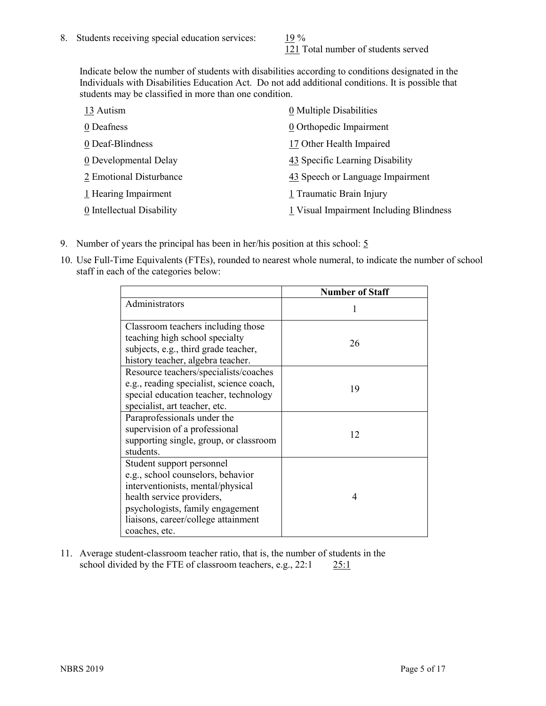121 Total number of students served

Indicate below the number of students with disabilities according to conditions designated in the Individuals with Disabilities Education Act. Do not add additional conditions. It is possible that students may be classified in more than one condition.

| 13 Autism                 | 0 Multiple Disabilities                 |
|---------------------------|-----------------------------------------|
| 0 Deafness                | 0 Orthopedic Impairment                 |
| 0 Deaf-Blindness          | 17 Other Health Impaired                |
| 0 Developmental Delay     | 43 Specific Learning Disability         |
| 2 Emotional Disturbance   | 43 Speech or Language Impairment        |
| 1 Hearing Impairment      | 1 Traumatic Brain Injury                |
| 0 Intellectual Disability | 1 Visual Impairment Including Blindness |

- 9. Number of years the principal has been in her/his position at this school:  $5$
- 10. Use Full-Time Equivalents (FTEs), rounded to nearest whole numeral, to indicate the number of school staff in each of the categories below:

|                                                                                                                                                                                                                              | <b>Number of Staff</b> |
|------------------------------------------------------------------------------------------------------------------------------------------------------------------------------------------------------------------------------|------------------------|
| Administrators                                                                                                                                                                                                               |                        |
| Classroom teachers including those<br>teaching high school specialty<br>subjects, e.g., third grade teacher,<br>history teacher, algebra teacher.                                                                            | 26                     |
| Resource teachers/specialists/coaches<br>e.g., reading specialist, science coach,<br>special education teacher, technology<br>specialist, art teacher, etc.                                                                  | 19                     |
| Paraprofessionals under the<br>supervision of a professional<br>supporting single, group, or classroom<br>students.                                                                                                          | 12                     |
| Student support personnel<br>e.g., school counselors, behavior<br>interventionists, mental/physical<br>health service providers,<br>psychologists, family engagement<br>liaisons, career/college attainment<br>coaches, etc. | 4                      |

11. Average student-classroom teacher ratio, that is, the number of students in the school divided by the FTE of classroom teachers, e.g., 22:1 25:1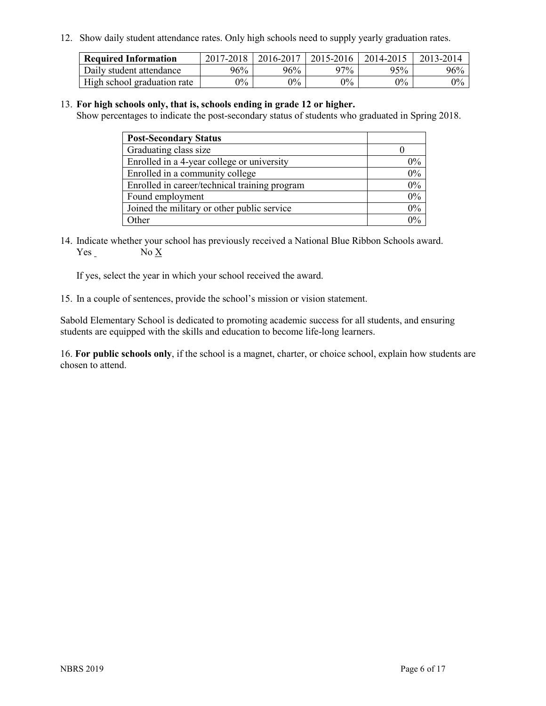12. Show daily student attendance rates. Only high schools need to supply yearly graduation rates.

| <b>Required Information</b> | 2017-2018 | 2016-2017 | 2015-2016 | 2014-2015 | 2013-2014 |
|-----------------------------|-----------|-----------|-----------|-----------|-----------|
| Daily student attendance    | 96%       | 96%       | 97%       | 95%       | 96%       |
| High school graduation rate | $0\%$     | $0\%$     | $0\%$     | $9\%$     | $0\%$     |

### 13. **For high schools only, that is, schools ending in grade 12 or higher.**

Show percentages to indicate the post-secondary status of students who graduated in Spring 2018.

| <b>Post-Secondary Status</b>                  |       |
|-----------------------------------------------|-------|
| Graduating class size                         |       |
| Enrolled in a 4-year college or university    | $0\%$ |
| Enrolled in a community college               | 0%    |
| Enrolled in career/technical training program | 0%    |
| Found employment                              | 0%    |
| Joined the military or other public service   | 0%    |
| Other                                         | $0\%$ |

14. Indicate whether your school has previously received a National Blue Ribbon Schools award. Yes No X

If yes, select the year in which your school received the award.

15. In a couple of sentences, provide the school's mission or vision statement.

Sabold Elementary School is dedicated to promoting academic success for all students, and ensuring students are equipped with the skills and education to become life-long learners.

16. **For public schools only**, if the school is a magnet, charter, or choice school, explain how students are chosen to attend.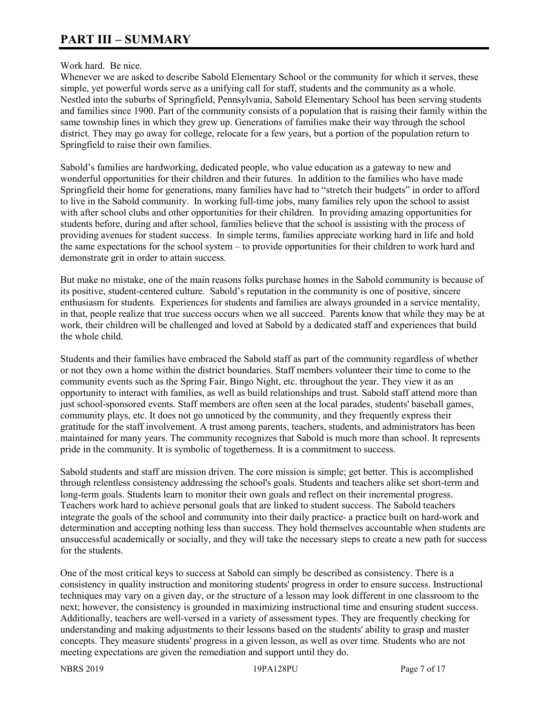# Work hard. Be nice.

Whenever we are asked to describe Sabold Elementary School or the community for which it serves, these simple, yet powerful words serve as a unifying call for staff, students and the community as a whole. Nestled into the suburbs of Springfield, Pennsylvania, Sabold Elementary School has been serving students and families since 1900. Part of the community consists of a population that is raising their family within the same township lines in which they grew up. Generations of families make their way through the school district. They may go away for college, relocate for a few years, but a portion of the population return to Springfield to raise their own families.

Sabold's families are hardworking, dedicated people, who value education as a gateway to new and wonderful opportunities for their children and their futures. In addition to the families who have made Springfield their home for generations, many families have had to "stretch their budgets" in order to afford to live in the Sabold community. In working full-time jobs, many families rely upon the school to assist with after school clubs and other opportunities for their children. In providing amazing opportunities for students before, during and after school, families believe that the school is assisting with the process of providing avenues for student success. In simple terms, families appreciate working hard in life and hold the same expectations for the school system – to provide opportunities for their children to work hard and demonstrate grit in order to attain success.

But make no mistake, one of the main reasons folks purchase homes in the Sabold community is because of its positive, student-centered culture. Sabold's reputation in the community is one of positive, sincere enthusiasm for students. Experiences for students and families are always grounded in a service mentality, in that, people realize that true success occurs when we all succeed. Parents know that while they may be at work, their children will be challenged and loved at Sabold by a dedicated staff and experiences that build the whole child.

Students and their families have embraced the Sabold staff as part of the community regardless of whether or not they own a home within the district boundaries. Staff members volunteer their time to come to the community events such as the Spring Fair, Bingo Night, etc. throughout the year. They view it as an opportunity to interact with families, as well as build relationships and trust. Sabold staff attend more than just school-sponsored events. Staff members are often seen at the local parades, students' baseball games, community plays, etc. It does not go unnoticed by the community, and they frequently express their gratitude for the staff involvement. A trust among parents, teachers, students, and administrators has been maintained for many years. The community recognizes that Sabold is much more than school. It represents pride in the community. It is symbolic of togetherness. It is a commitment to success.

Sabold students and staff are mission driven. The core mission is simple; get better. This is accomplished through relentless consistency addressing the school's goals. Students and teachers alike set short-term and long-term goals. Students learn to monitor their own goals and reflect on their incremental progress. Teachers work hard to achieve personal goals that are linked to student success. The Sabold teachers integrate the goals of the school and community into their daily practice- a practice built on hard-work and determination and accepting nothing less than success. They hold themselves accountable when students are unsuccessful academically or socially, and they will take the necessary steps to create a new path for success for the students.

One of the most critical keys to success at Sabold can simply be described as consistency. There is a consistency in quality instruction and monitoring students' progress in order to ensure success. Instructional techniques may vary on a given day, or the structure of a lesson may look different in one classroom to the next; however, the consistency is grounded in maximizing instructional time and ensuring student success. Additionally, teachers are well-versed in a variety of assessment types. They are frequently checking for understanding and making adjustments to their lessons based on the students' ability to grasp and master concepts. They measure students' progress in a given lesson, as well as over time. Students who are not meeting expectations are given the remediation and support until they do.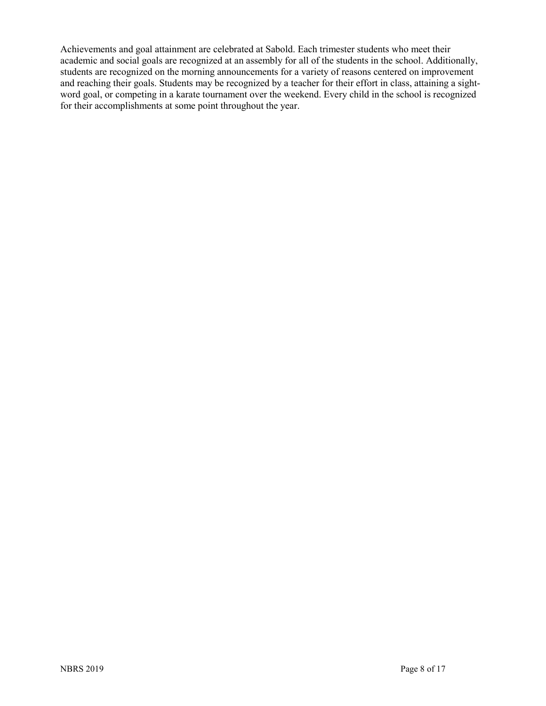Achievements and goal attainment are celebrated at Sabold. Each trimester students who meet their academic and social goals are recognized at an assembly for all of the students in the school. Additionally, students are recognized on the morning announcements for a variety of reasons centered on improvement and reaching their goals. Students may be recognized by a teacher for their effort in class, attaining a sightword goal, or competing in a karate tournament over the weekend. Every child in the school is recognized for their accomplishments at some point throughout the year.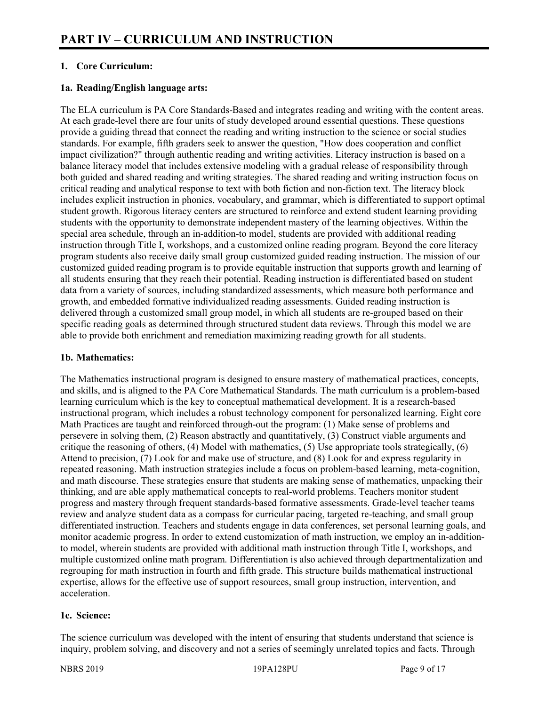# **1. Core Curriculum:**

# **1a. Reading/English language arts:**

The ELA curriculum is PA Core Standards-Based and integrates reading and writing with the content areas. At each grade-level there are four units of study developed around essential questions. These questions provide a guiding thread that connect the reading and writing instruction to the science or social studies standards. For example, fifth graders seek to answer the question, "How does cooperation and conflict impact civilization?" through authentic reading and writing activities. Literacy instruction is based on a balance literacy model that includes extensive modeling with a gradual release of responsibility through both guided and shared reading and writing strategies. The shared reading and writing instruction focus on critical reading and analytical response to text with both fiction and non-fiction text. The literacy block includes explicit instruction in phonics, vocabulary, and grammar, which is differentiated to support optimal student growth. Rigorous literacy centers are structured to reinforce and extend student learning providing students with the opportunity to demonstrate independent mastery of the learning objectives. Within the special area schedule, through an in-addition-to model, students are provided with additional reading instruction through Title I, workshops, and a customized online reading program. Beyond the core literacy program students also receive daily small group customized guided reading instruction. The mission of our customized guided reading program is to provide equitable instruction that supports growth and learning of all students ensuring that they reach their potential. Reading instruction is differentiated based on student data from a variety of sources, including standardized assessments, which measure both performance and growth, and embedded formative individualized reading assessments. Guided reading instruction is delivered through a customized small group model, in which all students are re-grouped based on their specific reading goals as determined through structured student data reviews. Through this model we are able to provide both enrichment and remediation maximizing reading growth for all students.

# **1b. Mathematics:**

The Mathematics instructional program is designed to ensure mastery of mathematical practices, concepts, and skills, and is aligned to the PA Core Mathematical Standards. The math curriculum is a problem-based learning curriculum which is the key to conceptual mathematical development. It is a research-based instructional program, which includes a robust technology component for personalized learning. Eight core Math Practices are taught and reinforced through-out the program: (1) Make sense of problems and persevere in solving them, (2) Reason abstractly and quantitatively, (3) Construct viable arguments and critique the reasoning of others, (4) Model with mathematics, (5) Use appropriate tools strategically, (6) Attend to precision, (7) Look for and make use of structure, and (8) Look for and express regularity in repeated reasoning. Math instruction strategies include a focus on problem-based learning, meta-cognition, and math discourse. These strategies ensure that students are making sense of mathematics, unpacking their thinking, and are able apply mathematical concepts to real-world problems. Teachers monitor student progress and mastery through frequent standards-based formative assessments. Grade-level teacher teams review and analyze student data as a compass for curricular pacing, targeted re-teaching, and small group differentiated instruction. Teachers and students engage in data conferences, set personal learning goals, and monitor academic progress. In order to extend customization of math instruction, we employ an in-additionto model, wherein students are provided with additional math instruction through Title I, workshops, and multiple customized online math program. Differentiation is also achieved through departmentalization and regrouping for math instruction in fourth and fifth grade. This structure builds mathematical instructional expertise, allows for the effective use of support resources, small group instruction, intervention, and acceleration.

### **1c. Science:**

The science curriculum was developed with the intent of ensuring that students understand that science is inquiry, problem solving, and discovery and not a series of seemingly unrelated topics and facts. Through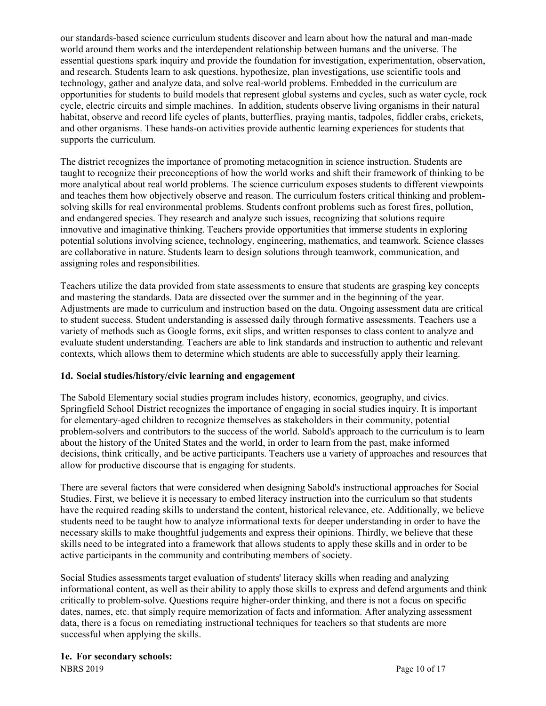our standards-based science curriculum students discover and learn about how the natural and man-made world around them works and the interdependent relationship between humans and the universe. The essential questions spark inquiry and provide the foundation for investigation, experimentation, observation, and research. Students learn to ask questions, hypothesize, plan investigations, use scientific tools and technology, gather and analyze data, and solve real-world problems. Embedded in the curriculum are opportunities for students to build models that represent global systems and cycles, such as water cycle, rock cycle, electric circuits and simple machines. In addition, students observe living organisms in their natural habitat, observe and record life cycles of plants, butterflies, praying mantis, tadpoles, fiddler crabs, crickets, and other organisms. These hands-on activities provide authentic learning experiences for students that supports the curriculum.

The district recognizes the importance of promoting metacognition in science instruction. Students are taught to recognize their preconceptions of how the world works and shift their framework of thinking to be more analytical about real world problems. The science curriculum exposes students to different viewpoints and teaches them how objectively observe and reason. The curriculum fosters critical thinking and problemsolving skills for real environmental problems. Students confront problems such as forest fires, pollution, and endangered species. They research and analyze such issues, recognizing that solutions require innovative and imaginative thinking. Teachers provide opportunities that immerse students in exploring potential solutions involving science, technology, engineering, mathematics, and teamwork. Science classes are collaborative in nature. Students learn to design solutions through teamwork, communication, and assigning roles and responsibilities.

Teachers utilize the data provided from state assessments to ensure that students are grasping key concepts and mastering the standards. Data are dissected over the summer and in the beginning of the year. Adjustments are made to curriculum and instruction based on the data. Ongoing assessment data are critical to student success. Student understanding is assessed daily through formative assessments. Teachers use a variety of methods such as Google forms, exit slips, and written responses to class content to analyze and evaluate student understanding. Teachers are able to link standards and instruction to authentic and relevant contexts, which allows them to determine which students are able to successfully apply their learning.

# **1d. Social studies/history/civic learning and engagement**

The Sabold Elementary social studies program includes history, economics, geography, and civics. Springfield School District recognizes the importance of engaging in social studies inquiry. It is important for elementary-aged children to recognize themselves as stakeholders in their community, potential problem-solvers and contributors to the success of the world. Sabold's approach to the curriculum is to learn about the history of the United States and the world, in order to learn from the past, make informed decisions, think critically, and be active participants. Teachers use a variety of approaches and resources that allow for productive discourse that is engaging for students.

There are several factors that were considered when designing Sabold's instructional approaches for Social Studies. First, we believe it is necessary to embed literacy instruction into the curriculum so that students have the required reading skills to understand the content, historical relevance, etc. Additionally, we believe students need to be taught how to analyze informational texts for deeper understanding in order to have the necessary skills to make thoughtful judgements and express their opinions. Thirdly, we believe that these skills need to be integrated into a framework that allows students to apply these skills and in order to be active participants in the community and contributing members of society.

Social Studies assessments target evaluation of students' literacy skills when reading and analyzing informational content, as well as their ability to apply those skills to express and defend arguments and think critically to problem-solve. Questions require higher-order thinking, and there is not a focus on specific dates, names, etc. that simply require memorization of facts and information. After analyzing assessment data, there is a focus on remediating instructional techniques for teachers so that students are more successful when applying the skills.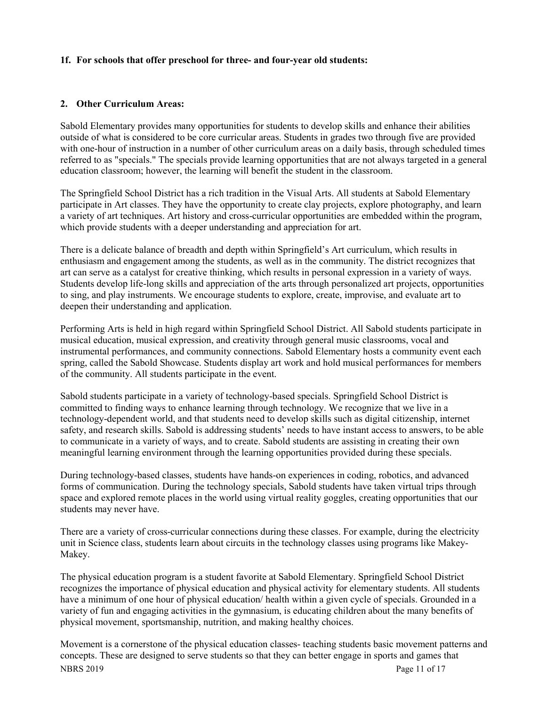# **1f. For schools that offer preschool for three- and four-year old students:**

# **2. Other Curriculum Areas:**

Sabold Elementary provides many opportunities for students to develop skills and enhance their abilities outside of what is considered to be core curricular areas. Students in grades two through five are provided with one-hour of instruction in a number of other curriculum areas on a daily basis, through scheduled times referred to as "specials." The specials provide learning opportunities that are not always targeted in a general education classroom; however, the learning will benefit the student in the classroom.

The Springfield School District has a rich tradition in the Visual Arts. All students at Sabold Elementary participate in Art classes. They have the opportunity to create clay projects, explore photography, and learn a variety of art techniques. Art history and cross-curricular opportunities are embedded within the program, which provide students with a deeper understanding and appreciation for art.

There is a delicate balance of breadth and depth within Springfield's Art curriculum, which results in enthusiasm and engagement among the students, as well as in the community. The district recognizes that art can serve as a catalyst for creative thinking, which results in personal expression in a variety of ways. Students develop life-long skills and appreciation of the arts through personalized art projects, opportunities to sing, and play instruments. We encourage students to explore, create, improvise, and evaluate art to deepen their understanding and application.

Performing Arts is held in high regard within Springfield School District. All Sabold students participate in musical education, musical expression, and creativity through general music classrooms, vocal and instrumental performances, and community connections. Sabold Elementary hosts a community event each spring, called the Sabold Showcase. Students display art work and hold musical performances for members of the community. All students participate in the event.

Sabold students participate in a variety of technology-based specials. Springfield School District is committed to finding ways to enhance learning through technology. We recognize that we live in a technology-dependent world, and that students need to develop skills such as digital citizenship, internet safety, and research skills. Sabold is addressing students' needs to have instant access to answers, to be able to communicate in a variety of ways, and to create. Sabold students are assisting in creating their own meaningful learning environment through the learning opportunities provided during these specials.

During technology-based classes, students have hands-on experiences in coding, robotics, and advanced forms of communication. During the technology specials, Sabold students have taken virtual trips through space and explored remote places in the world using virtual reality goggles, creating opportunities that our students may never have.

There are a variety of cross-curricular connections during these classes. For example, during the electricity unit in Science class, students learn about circuits in the technology classes using programs like Makey-Makey.

The physical education program is a student favorite at Sabold Elementary. Springfield School District recognizes the importance of physical education and physical activity for elementary students. All students have a minimum of one hour of physical education/ health within a given cycle of specials. Grounded in a variety of fun and engaging activities in the gymnasium, is educating children about the many benefits of physical movement, sportsmanship, nutrition, and making healthy choices.

NBRS 2019 Page 11 of 17 Movement is a cornerstone of the physical education classes- teaching students basic movement patterns and concepts. These are designed to serve students so that they can better engage in sports and games that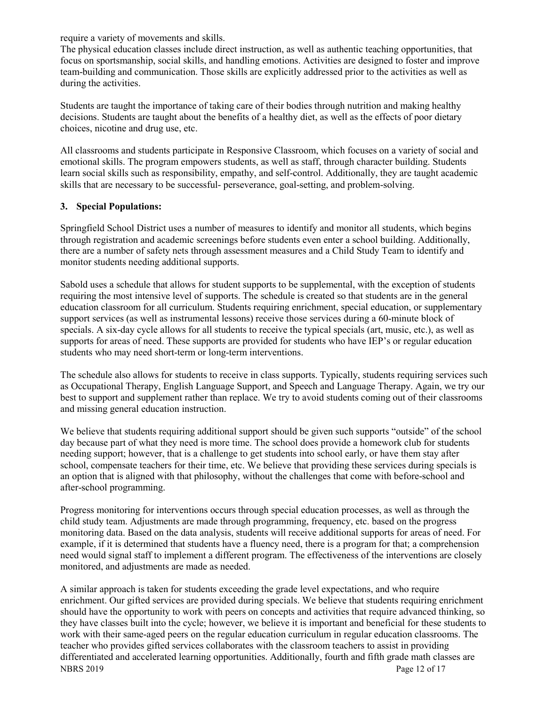require a variety of movements and skills.

The physical education classes include direct instruction, as well as authentic teaching opportunities, that focus on sportsmanship, social skills, and handling emotions. Activities are designed to foster and improve team-building and communication. Those skills are explicitly addressed prior to the activities as well as during the activities.

Students are taught the importance of taking care of their bodies through nutrition and making healthy decisions. Students are taught about the benefits of a healthy diet, as well as the effects of poor dietary choices, nicotine and drug use, etc.

All classrooms and students participate in Responsive Classroom, which focuses on a variety of social and emotional skills. The program empowers students, as well as staff, through character building. Students learn social skills such as responsibility, empathy, and self-control. Additionally, they are taught academic skills that are necessary to be successful- perseverance, goal-setting, and problem-solving.

### **3. Special Populations:**

Springfield School District uses a number of measures to identify and monitor all students, which begins through registration and academic screenings before students even enter a school building. Additionally, there are a number of safety nets through assessment measures and a Child Study Team to identify and monitor students needing additional supports.

Sabold uses a schedule that allows for student supports to be supplemental, with the exception of students requiring the most intensive level of supports. The schedule is created so that students are in the general education classroom for all curriculum. Students requiring enrichment, special education, or supplementary support services (as well as instrumental lessons) receive those services during a 60-minute block of specials. A six-day cycle allows for all students to receive the typical specials (art, music, etc.), as well as supports for areas of need. These supports are provided for students who have IEP's or regular education students who may need short-term or long-term interventions.

The schedule also allows for students to receive in class supports. Typically, students requiring services such as Occupational Therapy, English Language Support, and Speech and Language Therapy. Again, we try our best to support and supplement rather than replace. We try to avoid students coming out of their classrooms and missing general education instruction.

We believe that students requiring additional support should be given such supports "outside" of the school day because part of what they need is more time. The school does provide a homework club for students needing support; however, that is a challenge to get students into school early, or have them stay after school, compensate teachers for their time, etc. We believe that providing these services during specials is an option that is aligned with that philosophy, without the challenges that come with before-school and after-school programming.

Progress monitoring for interventions occurs through special education processes, as well as through the child study team. Adjustments are made through programming, frequency, etc. based on the progress monitoring data. Based on the data analysis, students will receive additional supports for areas of need. For example, if it is determined that students have a fluency need, there is a program for that; a comprehension need would signal staff to implement a different program. The effectiveness of the interventions are closely monitored, and adjustments are made as needed.

NBRS 2019 Page 12 of 17 A similar approach is taken for students exceeding the grade level expectations, and who require enrichment. Our gifted services are provided during specials. We believe that students requiring enrichment should have the opportunity to work with peers on concepts and activities that require advanced thinking, so they have classes built into the cycle; however, we believe it is important and beneficial for these students to work with their same-aged peers on the regular education curriculum in regular education classrooms. The teacher who provides gifted services collaborates with the classroom teachers to assist in providing differentiated and accelerated learning opportunities. Additionally, fourth and fifth grade math classes are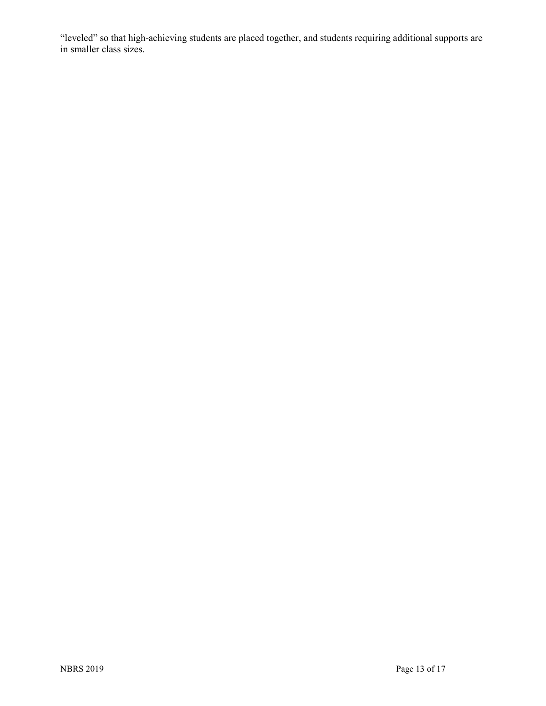"leveled" so that high-achieving students are placed together, and students requiring additional supports are in smaller class sizes.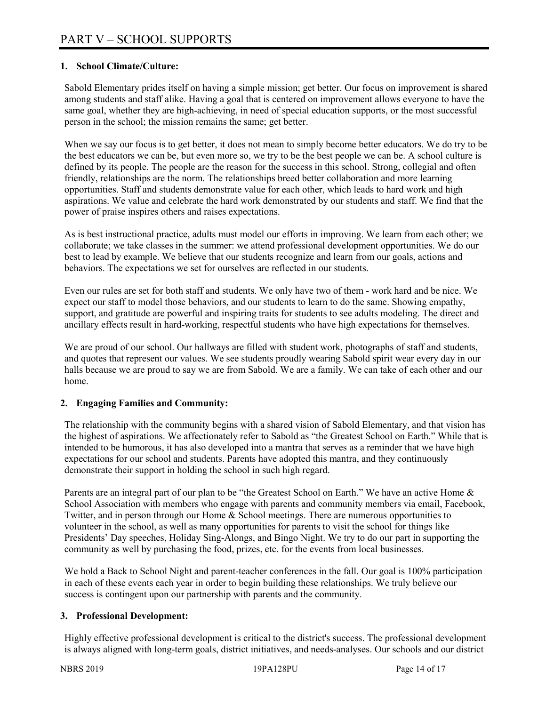# **1. School Climate/Culture:**

Sabold Elementary prides itself on having a simple mission; get better. Our focus on improvement is shared among students and staff alike. Having a goal that is centered on improvement allows everyone to have the same goal, whether they are high-achieving, in need of special education supports, or the most successful person in the school; the mission remains the same; get better.

When we say our focus is to get better, it does not mean to simply become better educators. We do try to be the best educators we can be, but even more so, we try to be the best people we can be. A school culture is defined by its people. The people are the reason for the success in this school. Strong, collegial and often friendly, relationships are the norm. The relationships breed better collaboration and more learning opportunities. Staff and students demonstrate value for each other, which leads to hard work and high aspirations. We value and celebrate the hard work demonstrated by our students and staff. We find that the power of praise inspires others and raises expectations.

As is best instructional practice, adults must model our efforts in improving. We learn from each other; we collaborate; we take classes in the summer: we attend professional development opportunities. We do our best to lead by example. We believe that our students recognize and learn from our goals, actions and behaviors. The expectations we set for ourselves are reflected in our students.

Even our rules are set for both staff and students. We only have two of them - work hard and be nice. We expect our staff to model those behaviors, and our students to learn to do the same. Showing empathy, support, and gratitude are powerful and inspiring traits for students to see adults modeling. The direct and ancillary effects result in hard-working, respectful students who have high expectations for themselves.

We are proud of our school. Our hallways are filled with student work, photographs of staff and students, and quotes that represent our values. We see students proudly wearing Sabold spirit wear every day in our halls because we are proud to say we are from Sabold. We are a family. We can take of each other and our home.

### **2. Engaging Families and Community:**

The relationship with the community begins with a shared vision of Sabold Elementary, and that vision has the highest of aspirations. We affectionately refer to Sabold as "the Greatest School on Earth." While that is intended to be humorous, it has also developed into a mantra that serves as a reminder that we have high expectations for our school and students. Parents have adopted this mantra, and they continuously demonstrate their support in holding the school in such high regard.

Parents are an integral part of our plan to be "the Greatest School on Earth." We have an active Home & School Association with members who engage with parents and community members via email, Facebook, Twitter, and in person through our Home & School meetings. There are numerous opportunities to volunteer in the school, as well as many opportunities for parents to visit the school for things like Presidents' Day speeches, Holiday Sing-Alongs, and Bingo Night. We try to do our part in supporting the community as well by purchasing the food, prizes, etc. for the events from local businesses.

We hold a Back to School Night and parent-teacher conferences in the fall. Our goal is 100% participation in each of these events each year in order to begin building these relationships. We truly believe our success is contingent upon our partnership with parents and the community.

### **3. Professional Development:**

Highly effective professional development is critical to the district's success. The professional development is always aligned with long-term goals, district initiatives, and needs-analyses. Our schools and our district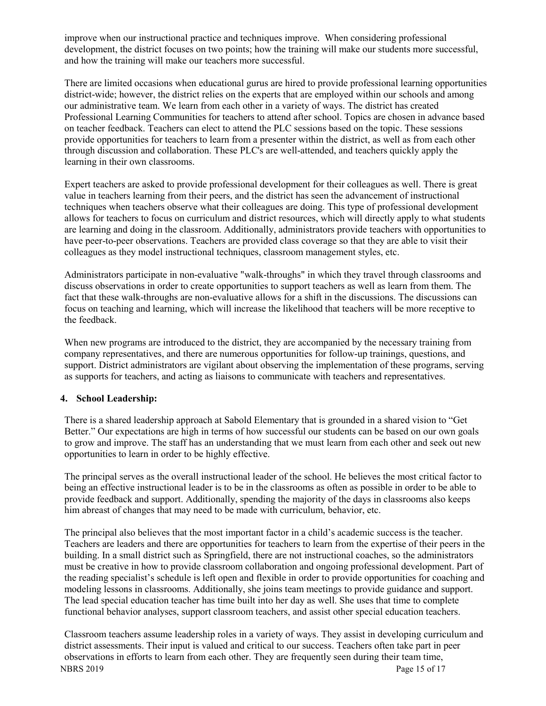improve when our instructional practice and techniques improve. When considering professional development, the district focuses on two points; how the training will make our students more successful, and how the training will make our teachers more successful.

There are limited occasions when educational gurus are hired to provide professional learning opportunities district-wide; however, the district relies on the experts that are employed within our schools and among our administrative team. We learn from each other in a variety of ways. The district has created Professional Learning Communities for teachers to attend after school. Topics are chosen in advance based on teacher feedback. Teachers can elect to attend the PLC sessions based on the topic. These sessions provide opportunities for teachers to learn from a presenter within the district, as well as from each other through discussion and collaboration. These PLC's are well-attended, and teachers quickly apply the learning in their own classrooms.

Expert teachers are asked to provide professional development for their colleagues as well. There is great value in teachers learning from their peers, and the district has seen the advancement of instructional techniques when teachers observe what their colleagues are doing. This type of professional development allows for teachers to focus on curriculum and district resources, which will directly apply to what students are learning and doing in the classroom. Additionally, administrators provide teachers with opportunities to have peer-to-peer observations. Teachers are provided class coverage so that they are able to visit their colleagues as they model instructional techniques, classroom management styles, etc.

Administrators participate in non-evaluative "walk-throughs" in which they travel through classrooms and discuss observations in order to create opportunities to support teachers as well as learn from them. The fact that these walk-throughs are non-evaluative allows for a shift in the discussions. The discussions can focus on teaching and learning, which will increase the likelihood that teachers will be more receptive to the feedback.

When new programs are introduced to the district, they are accompanied by the necessary training from company representatives, and there are numerous opportunities for follow-up trainings, questions, and support. District administrators are vigilant about observing the implementation of these programs, serving as supports for teachers, and acting as liaisons to communicate with teachers and representatives.

# **4. School Leadership:**

There is a shared leadership approach at Sabold Elementary that is grounded in a shared vision to "Get Better." Our expectations are high in terms of how successful our students can be based on our own goals to grow and improve. The staff has an understanding that we must learn from each other and seek out new opportunities to learn in order to be highly effective.

The principal serves as the overall instructional leader of the school. He believes the most critical factor to being an effective instructional leader is to be in the classrooms as often as possible in order to be able to provide feedback and support. Additionally, spending the majority of the days in classrooms also keeps him abreast of changes that may need to be made with curriculum, behavior, etc.

The principal also believes that the most important factor in a child's academic success is the teacher. Teachers are leaders and there are opportunities for teachers to learn from the expertise of their peers in the building. In a small district such as Springfield, there are not instructional coaches, so the administrators must be creative in how to provide classroom collaboration and ongoing professional development. Part of the reading specialist's schedule is left open and flexible in order to provide opportunities for coaching and modeling lessons in classrooms. Additionally, she joins team meetings to provide guidance and support. The lead special education teacher has time built into her day as well. She uses that time to complete functional behavior analyses, support classroom teachers, and assist other special education teachers.

NBRS 2019 Page 15 of 17 Classroom teachers assume leadership roles in a variety of ways. They assist in developing curriculum and district assessments. Their input is valued and critical to our success. Teachers often take part in peer observations in efforts to learn from each other. They are frequently seen during their team time,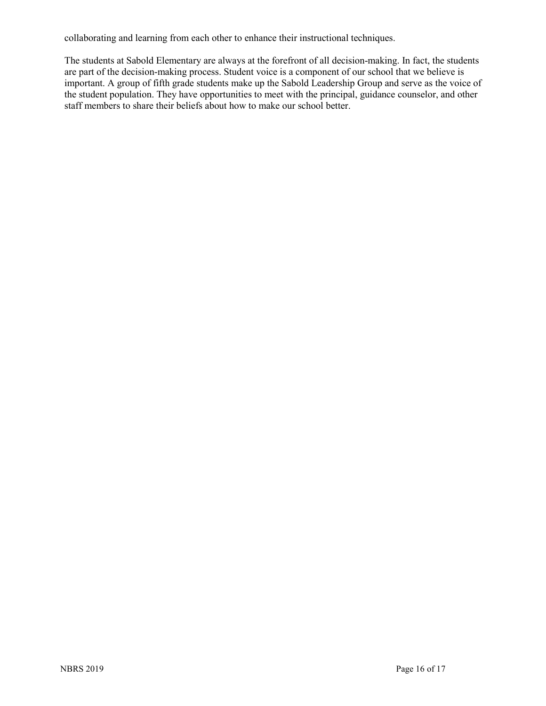collaborating and learning from each other to enhance their instructional techniques.

The students at Sabold Elementary are always at the forefront of all decision-making. In fact, the students are part of the decision-making process. Student voice is a component of our school that we believe is important. A group of fifth grade students make up the Sabold Leadership Group and serve as the voice of the student population. They have opportunities to meet with the principal, guidance counselor, and other staff members to share their beliefs about how to make our school better.